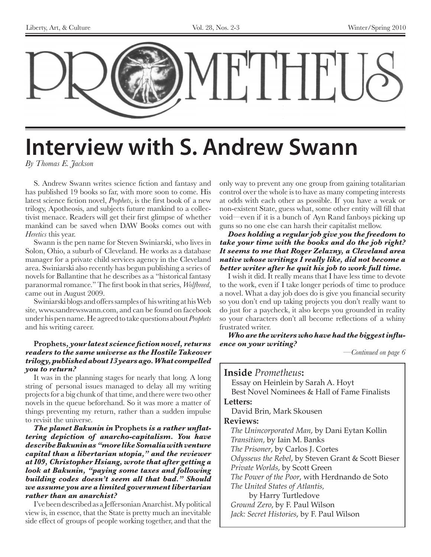

## **Interview with S. Andrew Swann**

*By Thomas E. Jackson*

S. Andrew Swann writes science fiction and fantasy and has published 19 books so far, with more soon to come. His latest science fiction novel, *Prophets*, is the first book of a new trilogy, Apotheosis, and subjects future mankind to a collectivist menace. Readers will get their first glimpse of whether mankind can be saved when DAW Books comes out with *Heretics* this year.

Swann is the pen name for Steven Swiniarski, who lives in Solon, Ohio, a suburb of Cleveland. He works as a database manager for a private child services agency in the Cleveland area. Swiniarski also recently has begun publishing a series of novels for Ballantine that he describes as a "historical fantasy paranormal romance." The first book in that series, *Wolfbreed*, came out in August 2009.

Swiniarski blogs and offers samples of his writing at his Web site, www.sandrewswann.com, and can be found on facebook under his pen name. He agreed to take questions about *Prophets* and his writing career.

#### **Prophets***, your latest science fiction novel, returns readers to the same universe as the Hostile Takeover trilogy, published about 13 years ago. What compelled you to return?*

It was in the planning stages for nearly that long. A long string of personal issues managed to delay all my writing projects for a big chunk of that time, and there were two other novels in the queue beforehand. So it was more a matter of things preventing my return, rather than a sudden impulse to revisit the universe.

*The planet Bakunin in* **Prophets** *is a rather unflattering depiction of anarcho-capitalism. You have describe Bakunin as "more like Somalia with venture capital than a libertarian utopia," and the reviewer at I09, Christopher Hsiang, wrote that after getting a look at Bakunin, "paying some taxes and following building codes doesn't seem all that bad." Should we assume you are a limited government libertarian rather than an anarchist?*

I've been described as a Jeffersonian Anarchist. My political view is, in essence, that the State is pretty much an inevitable side effect of groups of people working together, and that the only way to prevent any one group from gaining totalitarian control over the whole is to have as many competing interests at odds with each other as possible. If you have a weak or non-existent State, guess what, some other entity will fill that void—even if it is a bunch of Ayn Rand fanboys picking up guns so no one else can harsh their capitalist mellow.

#### *Does holding a regular job give you the freedom to take your time with the books and do the job right? It seems to me that Roger Zelazny, a Cleveland area native whose writings I really like, did not become a better writer after he quit his job to work full time.*

I wish it did. It really means that I have less time to devote to the work, even if I take longer periods of time to produce a novel. What a day job does do is give you financial security so you don't end up taking projects you don't really want to do just for a paycheck, it also keeps you grounded in reality so your characters don't all become reflections of a whiny frustrated writer.

*Who are the writers who have had the biggest influence on your writing?*

*—Continued on page 6*

#### **Inside** *Prometheus***:** Essay on Heinlein by Sarah A. Hoyt Best Novel Nominees & Hall of Fame Finalists **Letters:** David Brin, Mark Skousen **Reviews:** *The Unincorporated Man*, by Dani Eytan Kollin *Transition,* by Iain M. Banks *The Prisoner*, by Carlos J. Cortes *Odysseus the Rebel*, by Steven Grant & Scott Bieser *Private Worlds*, by Scott Green *The Power of the Poor*, with Herdnando de Soto *The United States of Atlantis,*  by Harry Turtledove *Ground Zero*, by F. Paul Wilson

*Jack: Secret Histories*, by F. Paul Wilson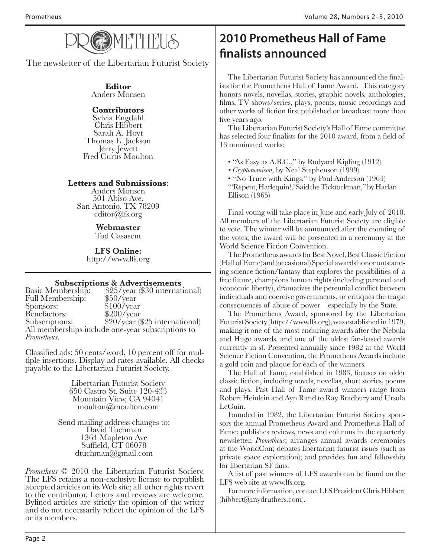

The newsletter of the Libertarian Futurist Society

#### **Editor** Anders Monsen

#### **Contributors**

Sylvia Engdahl Chris Hibbert Thomas E. Jackson<br>Jerry Jewett Fred Curtis Moulton

#### **Letters and Submissions**:

Anders Monsen 501 Abiso Ave. San Antonio, TX 78209 editor@lfs.org

#### **Webmaster**

Tod Casasent

**LFS Online:** http://www.lfs.org

**Subscriptions & Advertisements**<br>Basic Membership: \$25/year (\$30 internat \$25/year (\$30 international) \$50/year Full Membership:<br>Sponsors: \$100/year<br>\$200/year Benefactors:<br>Subscriptions:  $$20/year$  (\$25 international) All memberships include one-year subscriptions to *Prometheus*.

Classified ads: 50 cents/word, 10 percent off for mul- tiple insertions. Display ad rates available. All checks payable to the Libertarian Futurist Society.

> Libertarian Futurist Society 650 Castro St. Suite 120-433 Mountain View, CA 94041 moulton@moulton.com

Send mailing address changes to: David Tuchman 1364 Mapleton Ave Suffield, CT 06078 dtuchman@gmail.com

*Prometheus* © 2010 the Libertarian Futurist Society.<br>The LFS retains a non-exclusive license to republish accepted articles on its Web site; all other rights revert to the contributor. Letters and reviews are welcome. Bylined articles are strictly the opinion of the writer and do not necessarily reflect the opinion of the LFS or its members.

## **2010 Prometheus Hall of Fame finalists announced**

The Libertarian Futurist Society has announced the finalists for the Prometheus Hall of Fame Award. This category honors novels, novellas, stories, graphic novels, anthologies, films, TV shows/series, plays, poems, music recordings and other works of fiction first published or broadcast more than five years ago.

The Libertarian Futurist Society's Hall of Fame committee has selected four finalists for the 2010 award, from a field of 13 nominated works:

• "As Easy as A.B.C.," by Rudyard Kipling (1912)

- *Cryptonomicon*, by Neal Stephenson (1999)
- "No Truce with Kings," by Poul Anderson (1964)

"Repent, Harlequin!,' Said the Ticktockman," by Harlan Ellison (1965)

Final voting will take place in June and early July of 2010. All members of the Libertarian Futurist Society are eligible to vote. The winner will be announced after the counting of the votes; the award will be presented in a ceremony at the World Science Fiction Convention.

The Prometheus awards for Best Novel, Best Classic Fiction (Hall of Fame) and (occasional) Special awards honor outstanding science fiction/fantasy that explores the possibilities of a free future, champions human rights (including personal and economic liberty), dramatizes the perennial conflict between individuals and coercive governments, or critiques the tragic consequences of abuse of power—especially by the State.

The Prometheus Award, sponsored by the Libertarian Futurist Society (http://www.lfs.org), was established in 1979, making it one of the most enduring awards after the Nebula and Hugo awards, and one of the oldest fan-based awards currently in sf. Presented annually since 1982 at the World Science Fiction Convention, the Prometheus Awards include a gold coin and plaque for each of the winners.

The Hall of Fame, established in 1983, focuses on older classic fiction, including novels, novellas, short stories, poems and plays. Past Hall of Fame award winners range from Robert Heinlein and Ayn Rand to Ray Bradbury and Ursula LeGuin.

Founded in 1982, the Libertarian Futurist Society sponsors the annual Prometheus Award and Prometheus Hall of Fame; publishes reviews, news and columns in the quarterly newsletter, *Prometheus*; arranges annual awards ceremonies at the WorldCon; debates libertarian futurist issues (such as private space exploration); and provides fun and fellowship for libertarian SF fans.

A list of past winners of LFS awards can be found on the LFS web site at www.lfs.org.

For more information, contact LFS President Chris Hibbert (hibbert@mydruthers.com).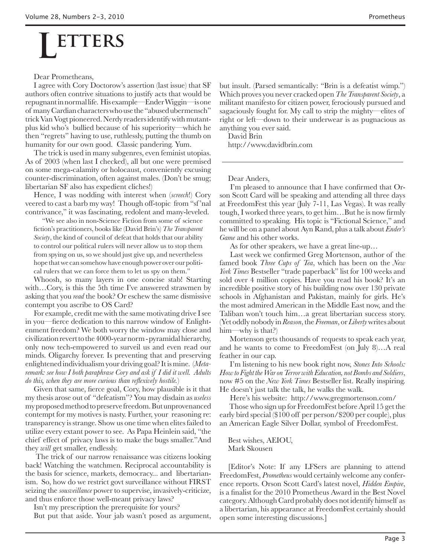# **ETTERS**

Dear Prometheans,

I agree with Cory Doctorow's assertion (last issue) that SF authors often contrive situations to justify acts that would be repugnant in normal life. His example—Ender Wiggin—is one of many Cardian characters who use the "abused ubermensch" trick Van Vogt pioneered. Nerdy readers identify with mutantplus kid who's bullied because of his superiority—which he then "regrets" having to use, ruthlessly, putting the thumb on humanity for our own good. Classic pandering. Yum.

The trick is used in many subgenres, even feminist utopias. As of 2003 (when last I checked), all but one were premised on some mega-calamity or holocaust, conveniently excusing counter-discrimination, often against males. (Don't be smug; libertarian SF also has expedient cliches!)

Hence, I was nodding with interest when (*screech*!) Cory veered to cast a barb my way! Though off-topic from "sf 'nal contrivance," it was fascinating, redolent and many-leveled.

"We see also in non-Science Fiction from some of science fiction's practitioners, books like (David Brin's) *The Transparent Society*, the kind of council of defeat that holds that our ability to control our political rulers will never allow us to stop them from spying on us, so we should just give up, and nevertheless hope that we can somehow have enough power over our political rulers that we can force them to let us spy on them."

Whoosh, so many layers in one concise stab! Starting with…Cory, is this the 5th time I've answered strawmen by asking that you *read* the book? Or eschew the same dismissive contempt you ascribe to OS Card?

For example, credit me with the same motivating drive I see in you—fierce dedication to this narrow window of Enlightenment freedom? We both worry the window may close and civilization revert to the 4000-year norm - pyramidal hierarchy, only now tech-empowered to surveil us and even read our minds. Oligarchy forever. Is preventing that and preserving enlightened individualism your driving goal? It is mine. (*Metaremark: see how I both paraphrase Cory and ask if I did it well. Adults do this, when they are more curious than reflexively hostile.*)

Given that same, fierce goal, Cory, how plausible is it that my thesis arose out of "defeatism"? You may disdain as *useless* my proposed method to preserve freedom. But unprovenanced contempt for my motives is nasty. Further, your reasoning re: transparency is strange. Show us one time when elites failed to utilize every extant power to see. As Papa Heinlein said, "the chief effect of privacy laws is to make the bugs smaller."And they *will* get smaller, endlessly.

 The trick of our narrow renaissance was citizens looking back! Watching the watchmen. Reciprocal accountability is the basis for science, markets, democracy... and libertarianism. So, how do we restrict govt surveillance without FIRST seizing the *sousveillance* power to supervise, invasively-criticize, and thus enforce those well-meant privacy laws?

Isn't my prescription the prerequisite for yours?

But put that aside. Your jab wasn't posed as argument,

but insult. (Parsed semantically: "Brin is a defeatist wimp.") Which proves you never cracked open *The Transparent Society*, a militant manifesto for citizen power, ferociously pursued and sagaciously fought for. My call to strip the mighty—elites of right or left—down to their underwear is as pugnacious as anything you ever said.

David Brin

http://www.davidbrin.com

Dear Anders,

 I'm pleased to announce that I have confirmed that Orson Scott Card will be speaking and attending all three days at FreedomFest this year (July 7-11, Las Vegas). It was really tough, I worked three years, to get him…But he is now firmly committed to speaking. His topic is "Fictional Science," and he will be on a panel about Ayn Rand, plus a talk about *Ender's Game* and his other works.

As for other speakers, we have a great line-up…

 Last week we confirmed Greg Mortenson, author of the famed book *Three Cups of Tea*, which has been on the *New York Times* Bestseller "trade paperback" list for 100 weeks and sold over 4 million copies. Have you read his book? It's an incredible positive story of his building now over 130 private schools in Afghanistan and Pakistan, mainly for girls. He's the most admired American in the Middle East now, and the Taliban won't touch him…a great libertarian success story. (Yet oddly nobody in *Reason*, the *Freeman*, or *Liberty* writes about him—why is that?)

 Mortenson gets thousands of requests to speak each year, and he wants to come to FreedomFest (on July 8)…A real feather in our cap.

 I'm listening to his new book right now, *Stones Into Schools: How to Fight the War on Terror with Education, not Bombs and Soldiers*, now #5 on the *New York Times* Bestseller list. Really inspiring. He doesn't just talk the talk, he walks the walk.

Here's his website: http://www.gregmortenson.com/

 Those who sign up for FreedomFest before April 15 get the early bird special (\$100 off per person/\$200 per couple), plus an American Eagle Silver Dollar, symbol of FreedomFest.

Best wishes, AEIOU, Mark Skousen

[Editor's Note: If any LFSers are planning to attend FreedomFest, *Prometheus* would certainly welcome any conference reports. Orson Scott Card's latest novel, *Hidden Empire*, is a finalist for the 2010 Prometheus Award in the Best Novel category. Although Card probably does not identify himself as a libertarian, his appearance at FreedomFest certainly should open some interesting discussions.]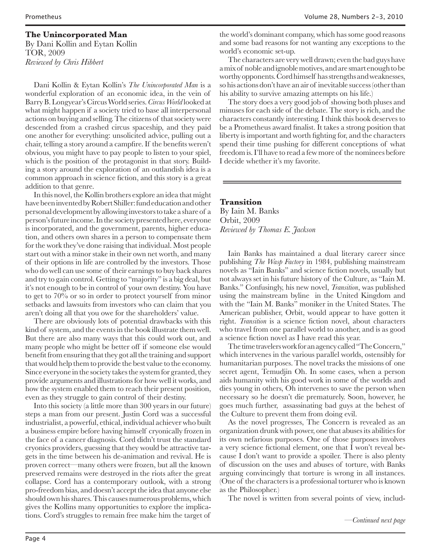#### **The Unincorporated Man**

By Dani Kollin and Eytan Kollin TOR, 2009 *Reviewed by Chris Hibbert*

Dani Kollin & Eytan Kollin's *The Unincorporated Man* is a wonderful exploration of an economic idea, in the vein of Barry B. Longyear's Circus World series. *Circus World* looked at what might happen if a society tried to base all interpersonal actions on buying and selling. The citizens of that society were descended from a crashed circus spaceship, and they paid one another for everything: unsolicited advice, pulling out a chair, telling a story around a campfire. If the benefits weren't obvious, you might have to pay people to listen to your spiel, which is the position of the protagonist in that story. Building a story around the exploration of an outlandish idea is a common approach in science fiction, and this story is a great addition to that genre.

In this novel, the Kollin brothers explore an idea that might have been invented by Robert Shiller: fund education and other personal development by allowing investors to take a share of a person's future income. In the society presented here, everyone is incorporated, and the government, parents, higher education, and others own shares in a person to compensate them for the work they've done raising that individual. Most people start out with a minor stake in their own net worth, and many of their options in life are controlled by the investors. Those who do well can use some of their earnings to buy back shares and try to gain control. Getting to "majority" is a big deal, but it's not enough to be in control of your own destiny. You have to get to 70% or so in order to protect yourself from minor setbacks and lawsuits from investors who can claim that you aren't doing all that you owe for the shareholders' value.

There are obviously lots of potential drawbacks with this kind of system, and the events in the book illustrate them well. But there are also many ways that this could work out, and many people who might be better off if someone else would benefit from ensuring that they got all the training and support that would help them to provide the best value to the economy. Since everyone in the society takes the system for granted, they provide arguments and illustrations for how well it works, and how the system enabled them to reach their present position, even as they struggle to gain control of their destiny.

Into this society (a little more than 300 years in our future) steps a man from our present. Justin Cord was a successful industrialist, a powerful, ethical, individual achiever who built a business empire before having himself cryonically frozen in the face of a cancer diagnosis. Cord didn't trust the standard cryonics providers, guessing that they would be attractive targets in the time between his de-animation and revival. He is proven correct—many others were frozen, but all the known preserved remains were destroyed in the riots after the great collapse. Cord has a contemporary outlook, with a strong pro-freedom bias, and doesn't accept the idea that anyone else should own his shares. This causes numerous problems, which gives the Kollins many opportunities to explore the implications. Cord's struggles to remain free make him the target of

the world's dominant company, which has some good reasons and some bad reasons for not wanting any exceptions to the world's economic set-up.

The characters are very well drawn; even the bad guys have a mix of noble and ignoble motives, and are smart enough to be worthy opponents. Cord himself has strengths and weaknesses, so his actions don't have an air of inevitable success (other than his ability to survive amazing attempts on his life.)

The story does a very good job of showing both pluses and minuses for each side of the debate. The story is rich, and the characters constantly interesting. I think this book deserves to be a Prometheus award finalist. It takes a strong position that liberty is important and worth fighting for, and the characters spend their time pushing for different conceptions of what freedom is. I'll have to read a few more of the nominees before I decide whether it's my favorite.

#### **Transition**

By Iain M. Banks Orbit, 2009 *Reviewed by Thomas E. Jackson*

Iain Banks has maintained a dual literary career since publishing *The Wasp Factory* in 1984, publishing mainstream novels as "Iain Banks" and science fiction novels, usually but not always set in his future history of the Culture, as "Iain M. Banks." Confusingly, his new novel, *Transition*, was published using the mainstream byline in the United Kingdom and with the "Iain M. Banks" moniker in the United States. The American publisher, Orbit, would appear to have gotten it right. *Transition* is a science fiction novel, about characters who travel from one parallel world to another, and is as good a science fiction novel as I have read this year.

The time travelers work for an agency called "The Concern," which intervenes in the various parallel worlds, ostensibly for humanitarian purposes. The novel tracks the missions of one secret agent, Temudjin Oh. In some cases, when a person aids humanity with his good work in some of the worlds and dies young in others, Oh intervenes to save the person when necessary so he doesn't die prematurely. Soon, however, he goes much further, assassinating bad guys at the behest of the Culture to prevent them from doing evil.

As the novel progresses, The Concern is revealed as an organization drunk with power, one that abuses its abilities for its own nefarious purposes. One of those purposes involves a very science fictional element, one that I won't reveal because I don't want to provide a spoiler. There is also plenty of discussion on the uses and abuses of torture, with Banks arguing convincingly that torture is wrong in all instances. (One of the characters is a professional torturer who is known as the Philosopher.)

The novel is written from several points of view, includ-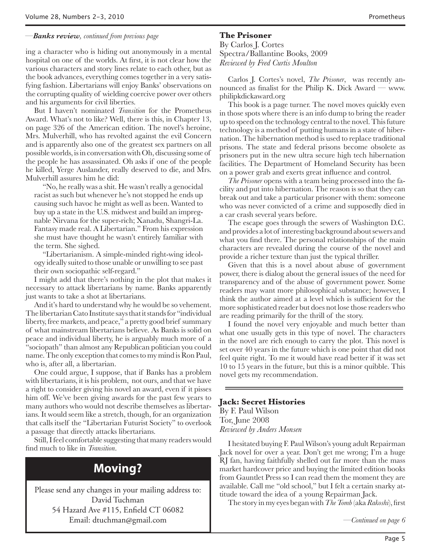#### *—Banks review, continued from previous page*

ing a character who is hiding out anonymously in a mental hospital on one of the worlds. At first, it is not clear how the various characters and story lines relate to each other, but as the book advances, everything comes together in a very satisfying fashion. Libertarians will enjoy Banks' observations on the corrupting quality of wielding coercive power over others and his arguments for civil liberties.

But I haven't nominated *Transition* for the Prometheus Award. What's not to like? Well, there is this, in Chapter 13, on page 326 of the American edition. The novel's heroine, Mrs. Mulverhill, who has revolted against the evil Concern and is apparently also one of the greatest sex partners on all possible worlds, is in conversation with Oh, discussing some of the people he has assassinated. Oh asks if one of the people he killed, Yerge Auslander, really deserved to die, and Mrs. Mulverhill assures him he did:

"No, he really was a shit. He wasn't really a genocidal racist as such but whenever he's not stopped he ends up causing such havoc he might as well as been. Wanted to buy up a state in the U.S. midwest and build an impregnable Nirvana for the super-rich; Xanadu, Shangri-La. Fantasy made real. A Libertarian." From his expression she must have thought he wasn't entirely familiar with the term. She sighed.

"Libertarianism. A simple-minded right-wing ideology ideally suited to those unable or unwilling to see past their own sociopathic self-regard."

I might add that there's nothing in the plot that makes it necessary to attack libertarians by name. Banks apparently just wants to take a shot at libertarians.

And it's hard to understand why he would be so vehement. The libertarian Cato Institute says that it stands for "individual liberty, free markets, and peace," a pretty good brief summary of what mainstream libertarians believe. As Banks is solid on peace and individual liberty, he is arguably much more of a "sociopath" than almost any Republican politician you could name. The only exception that comes to my mind is Ron Paul, who is, after all, a libertarian.

One could argue, I suppose, that if Banks has a problem with libertarians, it is his problem, not ours, and that we have a right to consider giving his novel an award, even if it pisses him off. We've been giving awards for the past few years to many authors who would not describe themselves as libertarians. It would seem like a stretch, though, for an organization that calls itself the "Libertarian Futurist Society" to overlook a passage that directly attacks libertarians.

Still, I feel comfortable suggesting that many readers would find much to like in *Transition*.

## **Moving?**

Please send any changes in your mailing address to: David Tuchman 54 Hazard Ave #115, Enfield CT 06082 Email: dtuchman@gmail.com

#### **The Prisoner**

By Carlos J. Cortes Spectra/Ballantine Books, 2009 *Reviewed by Fred Curtis Moulton*

Carlos J. Cortes's novel, *The Prisoner*, was recently announced as finalist for the Philip K. Dick Award — www. philipkdickaward.org

This book is a page turner. The novel moves quickly even in those spots where there is an info dump to bring the reader up to speed on the technology central to the novel. This future technology is a method of putting humans in a state of hibernation. The hibernation method is used to replace traditional prisons. The state and federal prisons become obsolete as prisoners put in the new ultra secure high tech hibernation facilities. The Department of Homeland Security has been on a power grab and exerts great influence and control.

*The Prisoner* opens with a team being processed into the facility and put into hibernation. The reason is so that they can break out and take a particular prisoner with them: someone who was never convicted of a crime and supposedly died in a car crash several years before.

The escape goes through the sewers of Washington D.C. and provides a lot of interesting background about sewers and what you find there. The personal relationships of the main characters are revealed during the course of the novel and provide a richer texture than just the typical thriller.

Given that this is a novel about abuse of government power, there is dialog about the general issues of the need for transparency and of the abuse of government power. Some readers may want more philosophical substance; however, I think the author aimed at a level which is sufficient for the more sophisticated reader but does not lose those readers who are reading primarily for the thrill of the story.

I found the novel very enjoyable and much better than what one usually gets in this type of novel. The characters in the novel are rich enough to carry the plot. This novel is set over 40 years in the future which is one point that did not feel quite right. To me it would have read better if it was set 10 to 15 years in the future, but this is a minor quibble. This novel gets my recommendation.

#### **Jack: Secret Histories**

By F. Paul Wilson Tor, June 2008 *Reviewed by Anders Monsen*

I hesitated buying F. Paul Wilson's young adult Repairman Jack novel for over a year. Don't get me wrong; I'm a huge RJ fan, having faithfully shelled out far more than the mass market hardcover price and buying the limited edition books from Gauntlet Press so I can read them the moment they are available. Call me "old school," but I felt a certain snarky attitude toward the idea of a young Repairman Jack.

The story in my eyes began with *The Tomb* (aka *Rakoshi*), first

*—Continued on page 6*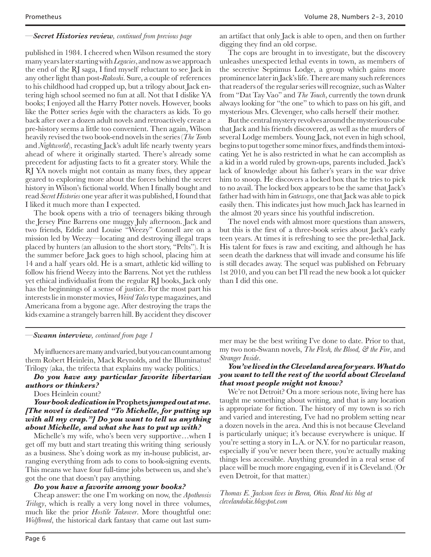#### *—Secret Histories review, continued from previous page*

published in 1984. I cheered when Wilson resumed the story many years later starting with *Legacies*, and now as we approach the end of the RJ saga, I find myself reluctant to see Jack in any other light than post-*Rakoshi*. Sure, a couple of references to his childhood had cropped up, but a trilogy about Jack entering high school seemed no fun at all. Not that I dislike YA books; I enjoyed all the Harry Potter novels. However, books like the Potter series *begin* with the characters as kids. To go back after over a dozen adult novels and retroactively create a pre-history seems a little too convenient. Then again, Wilson heavily revised the two book-end novels in the series (*The Tom*b and *Nightworld*), recasting Jack's adult life nearly twenty years ahead of where it originally started. There's already some precedent for adjusting facts to fit a greater story. While the RJ YA novels might not contain as many fixes, they appear geared to exploring more about the forces behind the secret history in Wilson's fictional world. When I finally bought and read *Secret Histories* one year after it was published, I found that I liked it much more than I expected.

The book opens with a trio of teenagers biking through the Jersey Pine Barrens one muggy July afternoon. Jack and two friends, Eddie and Louise "Weezy" Connell are on a mission led by Weezy—locating and destroying illegal traps placed by hunters (an allusion to the short story, "Pelts"). It is the summer before Jack goes to high school, placing him at 14 and a half years old. He is a smart, athletic kid willing to follow his friend Weezy into the Barrens. Not yet the ruthless yet ethical individualist from the regular RJ books, Jack only has the beginnings of a sense of justice. For the most part his interests lie in monster movies, *Weird Tales* type magazines, and Americana from a bygone age. After destroying the traps the kids examine a strangely barren hill. By accident they discover an artifact that only Jack is able to open, and then on further digging they find an old corpse.

The cops are brought in to investigate, but the discovery unleashes unexpected lethal events in town, as members of the secretive Septimus Lodge, a group which gains more prominence later in Jack's life. There are many such references that readers of the regular series will recognize, such as Walter from "Dat Tay Vao" and *The Touch*, currently the town drunk always looking for "the one" to which to pass on his gift, and mysterious Mrs. Clevenger, who calls herself their mother.

But the central mystery revolves around the mysterious cube that Jack and his friends discovered, as well as the murders of several Lodge members. Young Jack, not even in high school, begins to put together some minor fixes, and finds them intoxicating. Yet he is also restricted in what he can accomplish as a kid in a world ruled by grown-ups, parents included. Jack's lack of knowledge about his father's years in the war drive him to snoop. He discovers a locked box that he tries to pick to no avail. The locked box appears to be the same that Jack's father had with him in *Gateways*, one that Jack was able to pick easily then. This indicates just how much Jack has learned in the almost 20 years since his youthful indiscretion.

The novel ends with almost more questions than answers, but this is the first of a three-book series about Jack's early teen years. At times it is refreshing to see the pre-lethal Jack. His talent for fixes is raw and exciting, and although he has seen death the darkness that will invade and consume his life is still decades away. The sequel was published on February 1st 2010, and you can bet I'll read the new book a lot quicker than I did this one.

#### *—Swann interview, continued from page 1*

My influences are many and varied, but you can count among them Robert Heinlein, Mack Reynolds, and the Illuminatus! Trilogy (aka, the trifecta that explains my wacky politics.)

*Do you have any particular favorite libertarian authors or thinkers?*

Does Heinlein count?

#### *Your book dedication in* **Prophets** *jumped out at me. [The novel is dedicated "To Michelle, for putting up with all my crap."] Do you want to tell us anything about Michelle, and what she has to put up with?*

Michelle's my wife, who's been very supportive…when I get off my butt and start treating this writing thing seriously as a business. She's doing work as my in-house publicist, arranging everything from ads to cons to book-signing events. This means we have four full-time jobs between us, and she's got the one that doesn't pay anything.

#### *Do you have a favorite among your books?*

Cheap answer: the one I'm working on now, the *Apotheosis Trilogy*, which is really a very long novel in three volumes, much like the prior *Hostile Takeover*. More thoughtful one: *Wolfbreed*, the historical dark fantasy that came out last sum-

mer may be the best writing I've done to date. Prior to that, my two non-Swann novels, *The Flesh, the Blood, & the Fire*, and *Stranger Inside*.

#### *You've lived in the Cleveland area for years. What do you want to tell the rest of the world about Cleveland that most people might not know?*

We're not Detroit? On a more serious note, living here has taught me something about writing, and that is any location is appropriate for fiction. The history of my town is so rich and varied and interesting, I've had no problem setting near a dozen novels in the area. And this is not because Cleveland is particularly unique; it's because everywhere is unique. If you're setting a story in L.A. or N.Y. for no particular reason, especially if you've never been there, you're actually making things less accessible. Anything grounded in a real sense of place will be much more engaging, even if it is Cleveland. (Or even Detroit, for that matter.)

*Thomas E. Jackson lives in Berea, Ohio. Read his blog at clevelandokie.blogspot.com*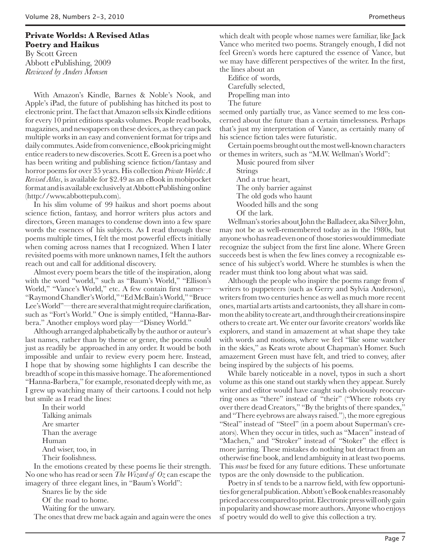### **Private Worlds: A Revised Atlas Poetry and Haikus** By Scott Green

Abbott ePublishing, 2009 *Reviewed by Anders Monsen*

With Amazon's Kindle, Barnes & Noble's Nook, and Apple's iPad, the future of publishing has hitched its post to electronic print. The fact that Amazon sells six Kindle editions for every 10 print editions speaks volumes. People read books, magazines, and newspapers on these devices, as they can pack multiple works in an easy and convenient format for trips and daily commutes. Aside from convenience, eBook pricing might entice readers to new discoveries. Scott E. Green is a poet who has been writing and publishing science fiction/fantasy and horror poems for over 35 years. His collection *Private Worlds: A Revised Atlas*, is available for \$2.49 as an eBook in mobipocket format and is available exclusively at Abbott ePublishing online (http://www.abbottepub.com).

In his slim volume of 99 haikus and short poems about science fiction, fantasy, and horror writers plus actors and directors, Green manages to condense down into a few spare words the essences of his subjects. As I read through these poems multiple times, I felt the most powerful effects initially when coming across names that I recognized. When I later revisited poems with more unknown names, I felt the authors reach out and call for additional discovery.

Almost every poem bears the title of the inspiration, along with the word "world," such as "Baum's World," "Ellison's World," "Vance's World," etc. A few contain first names— "Raymond Chandler's World," "Ed McBain's World," "Bruce Lee's World"—there are several that might require clarification, such as "Fort's World." One is simply entitled, "Hanna-Barbera." Another employs word play—"Disney World."

Although arranged alphabetically by the author or auteur's last names, rather than by theme or genre, the poems could just as readily be approached in any order. It would be both impossible and unfair to review every poem here. Instead, I hope that by showing some highlights I can describe the breadth of scope in this massive homage. The aforementioned "Hanna-Barbera," for example, resonated deeply with me, as I grew up watching many of their cartoons. I could not help but smile as I read the lines:

In their world Talking animals Are smarter Than the average Human And wiser, too, in Their foolishness.

In the emotions created by these poems lie their strength. No one who has read or seen *The Wizard of Oz* can escape the imagery of three elegant lines, in "Baum's World":

Snares lie by the side

Of the road to home.

Waiting for the unwary.

The ones that drew me back again and again were the ones

which dealt with people whose names were familiar, like Jack Vance who merited two poems. Strangely enough, I did not feel Green's words here captured the essence of Vance, but we may have different perspectives of the writer. In the first, the lines about an

Edifice of words,

Carefully selected,

Propelling man into

The future

seemed only partially true, as Vance seemed to me less concerned about the future than a certain timelessness. Perhaps that's just my interpretation of Vance, as certainly many of his science fiction tales were futuristic.

Certain poems brought out the most well-known characters or themes in writers, such as "M.W. Wellman's World":

Music poured from silver Strings And a true heart, The only barrier against The old gods who haunt Wooded hills and the song

Of the lark.

Wellman's stories about John the Balladeer, aka Silver John, may not be as well-remembered today as in the 1980s, but anyone who has read even one of those stories would immediate recognize the subject from the first line alone. Where Green succeeds best is when the few lines convey a recognizable essence of his subject's world. Where he stumbles is when the reader must think too long about what was said.

Although the people who inspire the poems range from sf writers to puppeteers (such as Gerry and Sylvia Anderson), writers from two centuries hence as well as much more recent ones, martial arts artists and cartoonists, they all share in common the ability to create art, and through their creations inspire others to create art. We enter our favorite creators' worlds like explorers, and stand in amazement at what shape they take with words and motions, where we feel "like some watcher in the skies," as Keats wrote about Chapman's Homer. Such amazement Green must have felt, and tried to convey, after being inspired by the subjects of his poems.

While barely noticeable in a novel, typos in such a short volume as this one stand out starkly when they appear. Surely writer and editor would have caught such obviously reoccurring ones as "there" instead of "their" ("Where robots cry over there dead Creators," "By the brights of there spandex," and "There eyebrows are always raised."), the more egregious "Steal" instead of "Steel" (in a poem about Superman's creators). When they occur in titles, such as "Macen" instead of "Machen," and "Stroker" instead of "Stoker" the effect is more jarring. These mistakes do nothing but detract from an otherwise fine book, and lend ambiguity in at least two poems. This *must* be fixed for any future editions. These unfortunate typos are the only downside to the publication.

Poetry in sf tends to be a narrow field, with few opportunities for general publication. Abbott's eBook enables reasonably priced access compared to print. Electronic press will only gain in popularity and showcase more authors. Anyone who enjoys sf poetry would do well to give this collection a try.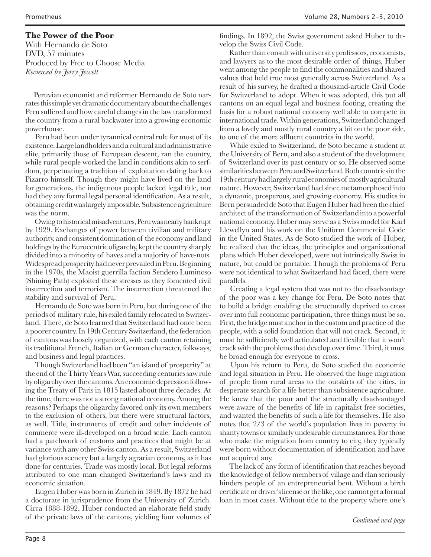#### **The Power of the Poor**

With Hernando de Soto DVD, 57 minutes Produced by Free to Choose Media *Reviewed by Jerry Jewett*

Peruvian economist and reformer Hernando de Soto narrates this simple yet dramatic documentary about the challenges Peru suffered and how careful changes in the law transformed the country from a rural backwater into a growing economic powerhouse.

 Peru had been under tyrannical central rule for most of its existence. Large landholders and a cultural and administrative elite, primarily those of European descent, ran the country, while rural people worked the land in conditions akin to serfdom, perpetuating a tradition of exploitation dating back to Pizarro himself. Though they might have lived on the land for generations, the indigenous people lacked legal title, nor had they any formal legal personal identification. As a result, obtaining credit was largely impossible. Subsistence agriculture was the norm.

 Owing to historical misadventures, Peru was nearly bankrupt by 1929. Exchanges of power between civilian and military authority, and consistent domination of the economy and land holdings by the Eurocentric oligarchy, kept the country sharply divided into a minority of haves and a majority of have-nots. Widespread prosperity had never prevailed in Peru. Beginning in the 1970s, the Maoist guerrilla faction Sendero Luminoso (Shining Path) exploited these stresses as they fomented civil insurrection and terrorism. The insurrection threatened the stability and survival of Peru.

 Hernando de Soto was born in Peru, but during one of the periods of military rule, his exiled family relocated to Switzerland. There, de Soto learned that Switzerland had once been a poorer country. In 19th Century Switzerland, the federation of cantons was loosely organized, with each canton retaining its traditional French, Italian or German character, folkways, and business and legal practices.

 Though Switzerland had been "an island of prosperity" at the end of the Thirty Years War, succeeding centuries saw rule by oligarchy over the cantons. An economic depression following the Treaty of Paris in 1815 lasted about three decades. At the time, there was not a strong national economy. Among the reasons? Perhaps the oligarchy favored only its own members to the exclusion of others, but there were structural factors, as well. Title, instruments of credit and other incidents of commerce were ill-developed on a broad scale. Each canton had a patchwork of customs and practices that might be at variance with any other Swiss canton. As a result, Switzerland had glorious scenery but a largely agrarian economy, as it has done for centuries. Trade was mostly local. But legal reforms attributed to one man changed Switzerland's laws and its economic situation.

 Eugen Huber was born in Zurich in 1849. By 1872 he had a doctorate in jurisprudence from the University of Zurich. Circa 1888-1892, Huber conducted an elaborate field study of the private laws of the cantons, yielding four volumes of

findings. In 1892, the Swiss government asked Huber to develop the Swiss Civil Code.

 Rather than consult with university professors, economists, and lawyers as to the most desirable order of things, Huber went among the people to find the commonalities and shared values that held true most generally across Switzerland. As a result of his survey, he drafted a thousand-article Civil Code for Switzerland to adopt. When it was adopted, this put all cantons on an equal legal and business footing, creating the basis for a robust national economy well able to compete in international trade. Within generations, Switzerland changed from a lovely and mostly rural country a bit on the poor side, to one of the more affluent countries in the world.

 While exiled to Switzerland, de Soto became a student at the University of Bern, and also a student of the development of Switzerland over its past century or so. He observed some similarities between Peru and Switzerland. Both countries in the 19th century had largely rural economies of mostly agricultural nature. However, Switzerland had since metamorphosed into a dynamic, prosperous, and growing economy. His studies in Bern persuaded de Soto that Eugen Huber had been the chief architect of the transformation of Switzerland into a powerful national economy. Huber may serve as a Swiss model for Karl Llewellyn and his work on the Uniform Commercial Code in the United States. As de Soto studied the work of Huber, he realized that the ideas, the principles and organizational plans which Huber developed, were not intrinsically Swiss in nature, but could be portable. Though the problems of Peru were not identical to what Switzerland had faced, there were parallels.

 Creating a legal system that was not to the disadvantage of the poor was a key change for Peru. De Soto notes that to build a bridge enabling the structurally deprived to cross over into full economic participation, three things must be so. First, the bridge must anchor in the custom and practice of the people, with a solid foundation that will not crack. Second, it must be sufficiently well articulated and flexible that it won't crack with the problems that develop over time. Third, it must be broad enough for everyone to cross.

 Upon his return to Peru, de Soto studied the economic and legal situation in Peru. He observed the huge migration of people from rural areas to the outskirts of the cities, in desperate search for a life better than subsistence agriculture. He knew that the poor and the structurally disadvantaged were aware of the benefits of life in capitalist free societies, and wanted the benefits of such a life for themselves. He also notes that 2/3 of the world's population lives in poverty in shanty towns or similarly undesirable circumstances. For those who make the migration from country to city, they typically were born without documentation of identification and have not acquired any.

 The lack of any form of identification that reaches beyond the knowledge of fellow members of village and clan seriously hinders people of an entrepreneurial bent. Without a birth certificate or driver's license or the like, one cannot get a formal loan in most cases. Without title to the property where one's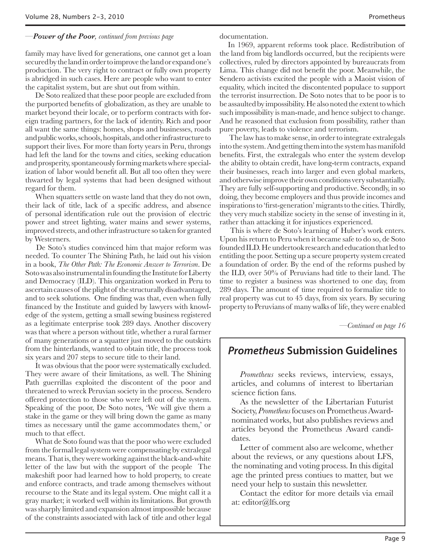#### *—Power of the Poor, continued from previous page*

family may have lived for generations, one cannot get a loan secured by the land in order to improve the land or expand one's production. The very right to contract or fully own property is abridged in such cases. Here are people who want to enter the capitalist system, but are shut out from within.

 De Soto realized that these poor people are excluded from the purported benefits of globalization, as they are unable to market beyond their locale, or to perform contracts with foreign trading partners, for the lack of identity. Rich and poor all want the same things: homes, shops and businesses, roads and public works, schools, hospitals, and other infrastructure to support their lives. For more than forty years in Peru, throngs had left the land for the towns and cities, seeking education and prosperity, spontaneously forming markets where specialization of labor would benefit all. But all too often they were thwarted by legal systems that had been designed without regard for them.

 When squatters settle on waste land that they do not own, their lack of title, lack of a specific address, and absence of personal identification rule out the provision of electric power and street lighting, water mains and sewer systems, improved streets, and other infrastructure so taken for granted by Westerners.

 De Soto's studies convinced him that major reform was needed. To counter The Shining Path, he laid out his vision in a book, *The Other Path: The Economic Answer to Terrorism*. De Soto was also instrumental in founding the Institute for Liberty and Democracy (ILD). This organization worked in Peru to ascertain causes of the plight of the structurally disadvantaged, and to seek solutions. One finding was that, even when fully financed by the Institute and guided by lawyers with knowledge of the system, getting a small sewing business registered as a legitimate enterprise took 289 days. Another discovery was that where a person without title, whether a rural farmer of many generations or a squatter just moved to the outskirts from the hinterlands, wanted to obtain title, the process took six years and 207 steps to secure title to their land.

 It was obvious that the poor were systematically excluded. They were aware of their limitations, as well. The Shining Path guerrillas exploited the discontent of the poor and threatened to wreck Peruvian society in the process. Sendero offered protection to those who were left out of the system. Speaking of the poor, De Soto notes, 'We will give them a stake in the game or they will bring down the game as many times as necessary until the game accommodates them,' or much to that effect.

 What de Soto found was that the poor who were excluded from the formal legal system were compensating by extralegal means. That is, they were working against the black-and-white letter of the law but with the support of the people The makeshift poor had learned how to hold property, to create and enforce contracts, and trade among themselves without recourse to the State and its legal system. One might call it a gray market; it worked well within its limitations. But growth was sharply limited and expansion almost impossible because of the constraints associated with lack of title and other legal

documentation.

In 1969, apparent reforms took place. Redistribution of the land from big landlords occurred, but the recipients were collectives, ruled by directors appointed by bureaucrats from Lima. This change did not benefit the poor. Meanwhile, the Sendero activists excited the people with a Maoist vision of equality, which incited the discontented populace to support the terrorist insurrection. De Soto notes that to be poor is to be assaulted by impossibility. He also noted the extent to which such impossibility is man-made, and hence subject to change. And he reasoned that exclusion from possibility, rather than pure poverty, leads to violence and terrorism.

 The law has to make sense, in order to integrate extralegals into the system. And getting them into the system has manifold benefits. First, the extralegals who enter the system develop the ability to obtain credit, have long-term contracts, expand their businesses, reach into larger and even global markets, and otherwise improve their own conditions very substantially. They are fully self-supporting and productive. Secondly, in so doing, they become employers and thus provide incomes and inspirations to 'first-generation' migrants to the cities. Thirdly, they very much stabilize society in the sense of investing in it, rather than attacking it for injustices experienced.

 This is where de Soto's learning of Huber's work enters. Upon his return to Peru when it became safe to do so, de Soto founded ILD. He undertook research and education that led to entitling the poor. Setting up a secure property system created a foundation of order. By the end of the reforms pushed by the ILD, over 50% of Peruvians had title to their land. The time to register a business was shortened to one day, from 289 days. The amount of time required to formalize title to real property was cut to 45 days, from six years. By securing property to Peruvians of many walks of life, they were enabled

*—Continued on page 16*

### **Prometheus Submission Guidelines**

*Prometheus* seeks reviews, interview, essays, articles, and columns of interest to libertarian science fiction fans.

As the newsletter of the Libertarian Futurist Society, *Prometheus* focuses on Prometheus Awardnominated works, but also publishes reviews and articles beyond the Prometheus Award candidates.

Letter of comment also are welcome, whether about the reviews, or any questions about LFS, the nominating and voting process. In this digital age the printed press contiues to matter, but we need your help to sustain this newsletter.

Contact the editor for more details via email at: editor@lfs.org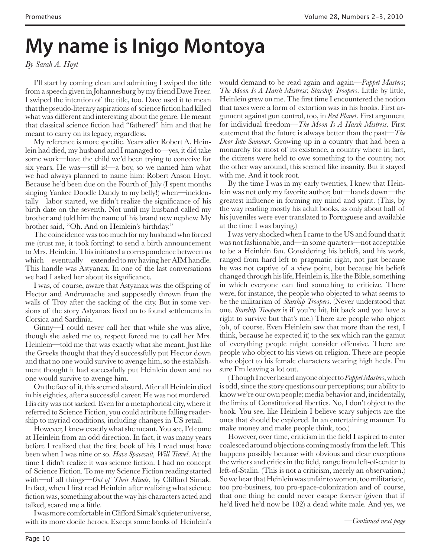## **My name is Inigo Montoya**

*By Sarah A. Hoyt*

I'll start by coming clean and admitting I swiped the title from a speech given in Johannesburg by my friend Dave Freer. I swiped the intention of the title, too. Dave used it to mean that the pseudo-literary aspirations of science fiction had killed what was different and interesting about the genre. He meant that classical science fiction had "fathered" him and that he meant to carry on its legacy, regardless.

My reference is more specific. Years after Robert A. Heinlein had died, my husband and I managed to—yes, it did take some work—have the child we'd been trying to conceive for six years. He was—still is!—a boy, so we named him what we had always planned to name him: Robert Anson Hoyt. Because he'd been due on the Fourth of July (I spent months singing Yankee Doodle Dandy to my belly!) when—incidentally—labor started, we didn't realize the significance of his birth date on the seventh. Not until my husband called my brother and told him the name of his brand new nephew. My brother said, "Oh. And on Heinlein's birthday."

The coincidence was too much for my husband who forced me (trust me, it took forcing) to send a birth announcement to Mrs. Heinlein. This initiated a correspondence between us which—eventually—extended to my having her AIM handle. This handle was Astyanax. In one of the last conversations we had I asked her about its significance.

I was, of course, aware that Astyanax was the offspring of Hector and Andromache and supposedly thrown from the walls of Troy after the sacking of the city. But in some versions of the story Astyanax lived on to found settlements in Corsica and Sardinia.

Ginny—I could never call her that while she was alive, though she asked me to, respect forced me to call her Mrs. Heinlein—told me that was exactly what she meant. Just like the Greeks thought that they'd successfully put Hector down and that no one would survive to avenge him, so the establishment thought it had successfully put Heinlein down and no one would survive to avenge him.

On the face of it, this seemed absurd. After all Heinlein died in his eighties, after a successful career. He was not murdered. His city was not sacked. Even for a metaphorical city, where it referred to Science Fiction, you could attribute falling readership to myriad conditions, including changes in US retail.

However, I knew exactly what she meant. You see, I'd come at Heinlein from an odd direction. In fact, it was many years before I realized that the first book of his I read must have been when I was nine or so. *Have Spacesuit, Will Travel*. At the time I didn't realize it was science fiction. I had no concept of Science Fiction. To me my Science Fiction reading started with—of all things—*Out of Their Minds*, by Clifford Simak. In fact, when I first read Heinlein after realizing what science fiction was, something about the way his characters acted and talked, scared me a little.

I was more comfortable in Clifford Simak's quieter universe, with its more docile heroes. Except some books of Heinlein's

would demand to be read again and again—*Puppet Masters*; *The Moon Is A Harsh Mistress*; *Starship Troopers*. Little by little, Heinlein grew on me. The first time I encountered the notion that taxes were a form of extortion was in his books. First argument against gun control, too, in *Red Planet*. First argument for individual freedom—*The Moon Is A Harsh Mistress*. First statement that the future is always better than the past—*The Door Into Summer*. Growing up in a country that had been a monarchy for most of its existence, a country where in fact, the citizens were held to owe something to the country, not the other way around, this seemed like insanity. But it stayed with me. And it took root.

By the time I was in my early twenties, I knew that Heinlein was not only my favorite author, but—hands down—the greatest influence in forming my mind and spirit. (This, by the way reading mostly his adult books, as only about half of his juveniles were ever translated to Portuguese and available at the time I was buying.)

I was very shocked when I came to the US and found that it was not fashionable, and—in some quarters—not acceptable to be a Heinlein fan. Considering his beliefs, and his work, ranged from hard left to pragmatic right, not just because he was not captive of a view point, but because his beliefs changed through his life, Heinlein is, like the Bible, something in which everyone can find something to criticize. There were, for instance, the people who objected to what seems to be the militarism of *Starship Troopers*. (Never understood that one. *Starship Troopers* is if you're hit, hit back and you have a right to survive but that's me.) There are people who object (oh, of course. Even Heinlein saw that more than the rest, I think, because he expected it) to the sex which ran the gamut of everything people might consider offensive. There are people who object to his views on religion. There are people who object to his female characters wearing high heels. I'm sure I'm leaving a lot out.

(Though I never heard anyone object to *Puppet Masters*, which is odd, since the story questions our perceptions; our ability to know we're our own people; media behavior and, incidentally, the limits of Constitutional liberties. No, I don't object to the book. You see, like Heinlein I believe scary subjects are the ones that should be explored. In an entertaining manner. To make money and make people think, too.)

However, over time, criticism in the field I aspired to enter coalesced around objections coming mostly from the left. This happens possibly because with obvious and clear exceptions the writers and critics in the field, range from left-of-center to left-of-Stalin. (This is not a criticism, merely an observation.) So we hear that Heinlein was unfair to women, too militaristic, too pro-business, too pro-space-colonization and of course, that one thing he could never escape forever (given that if he'd lived he'd now be 102) a dead white male. And yes, we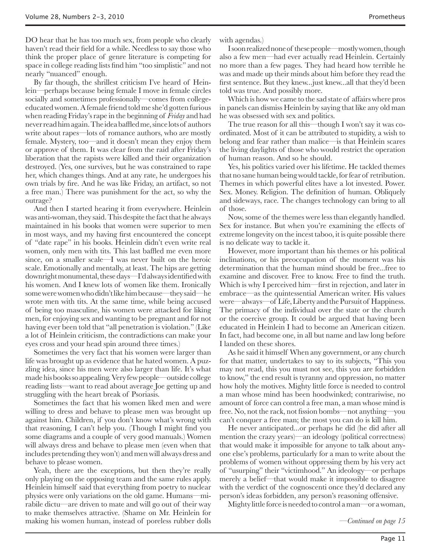DO hear that he has too much sex, from people who clearly haven't read their field for a while. Needless to say those who think the proper place of genre literature is competing for space in college reading lists find him "too simplistic" and not nearly "nuanced" enough.

By far though, the shrillest criticism I've heard of Heinlein—perhaps because being female I move in female circles socially and sometimes professionally—comes from collegeeducated women. A female friend told me she'd gotten furious when reading Friday's rape in the beginning of *Friday* and had never read him again. The idea baffled me, since lots of authors write about rapes—lots of romance authors, who are mostly female. Mystery, too—and it doesn't mean they enjoy them or approve of them. It was clear from the raid after Friday's liberation that the rapists were killed and their organization destroyed. (Yes, one survives, but he was constrained to rape her, which changes things. And at any rate, he undergoes his own trials by fire. And he was like Friday, an artifact, so not a free man.) There was punishment for the act, so why the outrage?

And then I started hearing it from everywhere. Heinlein was anti-woman, they said. This despite the fact that he always maintained in his books that women were superior to men in most ways, and my having first encountered the concept of "date rape" in his books. Heinlein didn't even write real women, only men with tits. This last baffled me even more since, on a smaller scale—I was never built on the heroic scale. Emotionally and mentally, at least. The hips are getting downright monumental, these days—I'd always identified with his women. And I knew lots of women like them. Ironically some were women who didn't like him because—they said—he wrote men with tits. At the same time, while being accused of being too masculine, his women were attacked for liking men, for enjoying sex and wanting to be pregnant and for not having ever been told that "all penetration is violation." (Like a lot of Heinlein criticism, the contradictions can make your eyes cross and your head spin around three times.)

Sometimes the very fact that his women were larger than life was brought up as evidence that he hated women. A puzzling idea, since his men were also larger than life. It's what made his books so appealing. Very few people—outside college reading lists—want to read about average Joe getting up and struggling with the heart break of Psoriasis.

Sometimes the fact that his women liked men and were willing to dress and behave to please men was brought up against him. Children, if you don't know what's wrong with that reasoning, I can't help you. (Though I might find you some diagrams and a couple of very good manuals.) Women will always dress and behave to please men (even when that includes pretending they won't) and men will always dress and behave to please women.

Yeah, there are the exceptions, but then they're really only playing on the opposing team and the same rules apply. Heinlein himself said that everything from poetry to nuclear physics were only variations on the old game. Humans—mirabile dictu—are driven to mate and will go out of their way to make themselves attractive. (Shame on Mr. Heinlein for making his women human, instead of poreless rubber dolls

with agendas.)

I soon realized none of these people—mostly women, though also a few men—had ever actually read Heinlein. Certainly no more than a few pages. They had heard how terrible he was and made up their minds about him before they read the first sentence. But they knew...just knew...all that they'd been told was true. And possibly more.

Which is how we came to the sad state of affairs where pros in panels can dismiss Heinlein by saying that like any old man he was obsessed with sex and politics.

The true reason for all this—though I won't say it was coordinated. Most of it can be attributed to stupidity, a wish to belong and fear rather than malice—is that Heinlein scares the living daylights of those who would restrict the operation of human reason. And so he should.

Yes, his politics varied over his lifetime. He tackled themes that no sane human being would tackle, for fear of retribution. Themes in which powerful elites have a lot invested. Power. Sex. Money. Religion. The definition of human. Obliquely and sideways, race. The changes technology can bring to all of those.

Now, some of the themes were less than elegantly handled. Sex for instance. But when you're examining the effects of extreme longevity on the incest taboo, it is quite possible there is no delicate way to tackle it.

However, more important than his themes or his political inclinations, or his preoccupation of the moment was his determination that the human mind should be free...free to examine and discover. Free to know. Free to find the truth. Which is why I perceived him—first in rejection, and later in embrace—as the quintessential American writer. His values were—always—of Life, Liberty and the Pursuit of Happiness. The primacy of the individual over the state or the church or the coercive group. It could be argued that having been educated in Heinlein I had to become an American citizen. In fact, had become one, in all but name and law long before I landed on these shores.

As he said it himself When any government, or any church for that matter, undertakes to say to its subjects, "This you may not read, this you must not see, this you are forbidden to know," the end result is tyranny and oppression, no matter how holy the motives. Mighty little force is needed to control a man whose mind has been hoodwinked; contrariwise, no amount of force can control a free man, a man whose mind is free. No, not the rack, not fission bombs—not anything—you can't conquer a free man; the most you can do is kill him.

He never anticipated...or perhaps he did (he did after all mention the crazy years)—an ideology (political correctness) that would make it impossible for anyone to talk about anyone else's problems, particularly for a man to write about the problems of women without oppressing them by his very act of "usurping" their "victimhood." An ideology—or perhaps merely a belief—that would make it impossible to disagree with the verdict of the cognoscenti once they'd declared any person's ideas forbidden, any person's reasoning offensive.

Mighty little force is needed to control a man—or a woman,

*—Continued on page 15*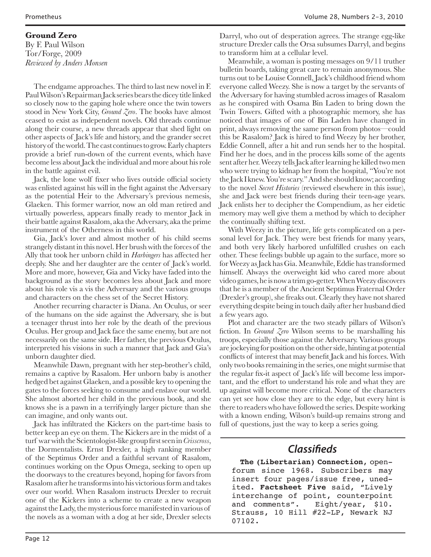### **Ground Zero**

By F. Paul Wilson Tor/Forge, 2009 *Reviewed by Anders Monsen*

The endgame approaches. The third to last new novel in F. Paul Wilson's Repairman Jack series bears the dicey title linked so closely now to the gaping hole where once the twin towers stood in New York City, *Ground Zero*. The books have almost ceased to exist as independent novels. Old threads continue along their course, a new threads appear that shed light on other aspects of Jack's life and history, and the grander secret history of the world. The cast continues to grow. Early chapters provide a brief run-down of the current events, which have become less about Jack the individual and more about his role in the battle against evil.

Jack, the lone wolf fixer who lives outside official society was enlisted against his will in the fight against the Adversary as the potential Heir to the Adversary's previous nemesis, Glaeken. This former warrior, now an old man retired and virtually powerless, appears finally ready to mentor Jack in their battle against Rasalom, aka the Adversary, aka the prime instrument of the Otherness in this world.

Gia, Jack's lover and almost mother of his child seems strangely distant in this novel. Her brush with the forces of the Ally that took her unborn child in *Harbingers* has affected her deeply. She and her daughter are the center of Jack's world. More and more, however, Gia and Vicky have faded into the background as the story becomes less about Jack and more about his role vis a vis the Adversary and the various groups and characters on the chess set of the Secret History.

Another recurring character is Diana. An Oculus, or seer of the humans on the side against the Adversary, she is but a teenager thrust into her role by the death of the previous Oculus. Her group and Jack face the same enemy, but are not necessarily on the same side. Her father, the previous Oculus, interpreted his visions in such a manner that Jack and Gia's unborn daughter died.

Meanwhile Dawn, pregnant with her step-brother's child, remains a captive by Rasalom. Her unborn baby is another hedged bet against Glaeken, and a possible key to opening the gates to the forces seeking to consume and enslave our world. She almost aborted her child in the previous book, and she knows she is a pawn in a terrifyingly larger picture than she can imagine, and only wants out.

Jack has infiltrated the Kickers on the part-time basis to better keep an eye on them. The Kickers are in the midst of a turf war with the Scientologist-like group first seen in *Crisscross*, the Dormentalists. Ernst Drexler, a high ranking member of the Septimus Order and a faithful servant of Rasalom, continues working on the Opus Omega, seeking to open up the doorways to the creatures beyond, hoping for favors from Rasalom after he transforms into his victorious form and takes over our world. When Rasalom instructs Drexler to recruit one of the Kickers into a scheme to create a new weapon against the Lady, the mysterious force manifested in various of the novels as a woman with a dog at her side, Drexler selects

Darryl, who out of desperation agrees. The strange egg-like structure Drexler calls the Orsa subsumes Darryl, and begins to transform him at a cellular level.

Meanwhile, a woman is posting messages on 9/11 truther bulletin boards, taking great care to remain anonymous. She turns out to be Louise Connell, Jack's childhood friend whom everyone called Weezy. She is now a target by the servants of the Adversary for having stumbled across images of Rasalom as he conspired with Osama Bin Laden to bring down the Twin Towers. Gifted with a photographic memory, she has noticed that images of one of Bin Laden have changed in print, always removing the same person from photos—could this be Rasalom? Jack is hired to find Weezy by her brother, Eddie Connell, after a hit and run sends her to the hospital. Find her he does, and in the process kills some of the agents sent after her. Weezy tells Jack after learning he killed two men who were trying to kidnap her from the hospital, "You're not the Jack I knew. You're scary." And she should know; according to the novel *Secret Histories* (reviewed elsewhere in this issue), she and Jack were best friends during their teen-age years. Jack enlists her to decipher the Compendium, as her eidetic memory may well give them a method by which to decipher the continually shifting text.

With Weezy in the picture, life gets complicated on a personal level for Jack. They were best friends for many years, and both very likely harbored unfulfilled crushes on each other. These feelings bubble up again to the surface, more so for Weezy as Jack has Gia. Meanwhile, Eddie has transformed himself. Always the overweight kid who cared more about video games, he is now a trim go-getter. When Weezy discovers that he is a member of the Ancient Septimus Fraternal Order (Drexler's group), she freaks out. Clearly they have not shared everything despite being in touch daily after her husband died a few years ago.

Plot and character are the two steady pillars of Wilson's fiction. In *Ground Zero* Wilson seems to be marshalling his troops, especially those against the Adversary. Various groups are jockeying for position on the other side, hinting at potential conflicts of interest that may benefit Jack and his forces. With only two books remaining in the series, one might surmise that the regular fix-it aspect of Jack's life will become less important, and the effort to understand his role and what they are up against will become more critical. None of the characters can yet see how close they are to the edge, but every hint is there to readers who have followed the series. Despite working with a known ending, Wilson's build-up remains strong and full of questions, just the way to keep a series going.

## **Classifieds**

**The (Libertarian) Connection**, openforum since 1968. Subscribers may insert four pages/issue free, unedited. **Factsheet Five** said, "Lively interchange of point, counterpoint<br>and comments". Eight/year, \$10. Eight/year,  $$10.$ Strauss, 10 Hill #22-LP, Newark NJ 07102.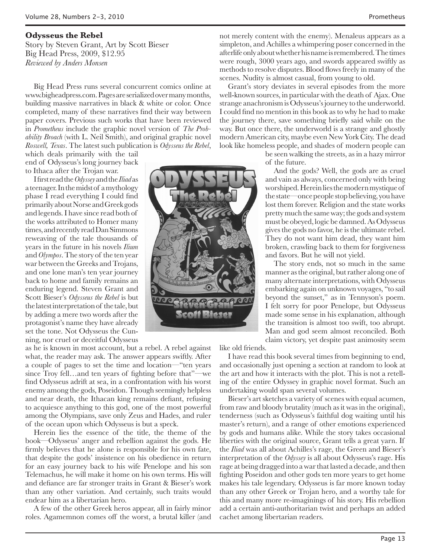#### **Odysseus the Rebel**

Story by Steven Grant, Art by Scott Bieser Big Head Press, 2009, \$12.95 *Reviewed by Anders Monsen*

Big Head Press runs several concurrent comics online at www.bigheadpress.com. Pages are serialized over many months, building massive narratives in black & white or color. Once completed, many of these narratives find their way between paper covers. Previous such works that have been reviewed in *Prometheus* include the graphic novel version of *The Probability Broach* (with L. Neil Smith), and original graphic novel *Roswell, Texas*. The latest such publication is *Odysseus the Rebel*,

which deals primarily with the tail end of Odysseus's long journey back to Ithaca after the Trojan war.

I first read the *Odyssey* and the *Iliad* as a teenager. In the midst of a mythology phase I read everything I could find primarily about Norse and Greek gods and legends. I have since read both of the works attributed to Homer many times, and recently read Dan Simmons reweaving of the tale thousands of years in the future in his novels *Ilium* and *Olympos*. The story of the ten year war between the Greeks and Trojans, and one lone man's ten year journey back to home and family remains an enduring legend. Steven Grant and Scott Bieser's *Odysseus the Rebel* is but the latest interpretation of the tale, but by adding a mere two words after the protagonist's name they have already set the tone. Not Odysseus the Cunning, nor cruel or deceitful Odysseus

as he is known in most account, but a rebel. A rebel against what, the reader may ask. The answer appears swiftly. After a couple of pages to set the time and location—"ten years since Troy fell…and ten years of fighting before that"—we find Odysseus adrift at sea, in a confrontation with his worst enemy among the gods, Poseidon. Though seemingly helpless and near death, the Ithacan king remains defiant, refusing to acquiesce anything to this god, one of the most powerful among the Olympians, save only Zeus and Hades, and ruler of the ocean upon which Odysseus is but a speck.

Herein lies the essence of the title, the theme of the book—Odysseus' anger and rebellion against the gods. He firmly believes that he alone is responsible for his own fate, that despite the gods' insistence on his obedience in return for an easy journey back to his wife Penelope and his son Telemachus, he will make it home on his own terms. His will and defiance are far stronger traits in Grant & Bieser's work than any other variation. And certainly, such traits would endear him as a libertarian hero.

A few of the other Greek heros appear, all in fairly minor roles. Agamemnon comes off the worst, a brutal killer (and

not merely content with the enemy). Menaleus appears as a simpleton, and Achilles a whimpering poser concerned in the afterlife only about whether his name is remembered. The times were rough, 3000 years ago, and swords appeared swiftly as methods to resolve disputes. Blood flows freely in many of the scenes. Nudity is almost casual, from young to old.

Grant's story deviates in several episodes from the more well-known sources, in particular with the death of Ajax. One strange anachronism is Odysseus's journey to the underworld. I could find no mention in this book as to why he had to make the journey there, save something briefly said while on the way. But once there, the underworld is a strange and ghostly modern American city, maybe even New York City. The dead look like homeless people, and shades of modern people can

> be seen walking the streets, as in a hazy mirror of the future.

And the gods? Well, the gods are as cruel and vain as always, concerned only with being worshiped. Herein lies the modern mystique of the state—once people stop believing, you have lost them forever. Religion and the state works pretty much the same way; the gods and system must be obeyed, logic be damned. As Odysseus gives the gods no favor, he is the ultimate rebel. They do not want him dead, they want him broken, crawling back to them for forgiveness and favors. But he will not yield.

The story ends, not so much in the same manner as the original, but rather along one of many alternate interpretations, with Odysseus embarking again on unknown voyages, "to sail beyond the sunset," as in Tennyson's poem. I felt sorry for poor Penelope, but Odysseus made some sense in his explanation, although the transition is almost too swift, too abrupt. Man and god seem almost reconciled. Both claim victory, yet despite past animosity seem

like old friends.

I have read this book several times from beginning to end, and occasionally just opening a section at random to look at the art and how it interacts with the plot. This is not a retelling of the entire Odyssey in graphic novel format. Such an undertaking would span several volumes.

Bieser's art sketches a variety of scenes with equal acumen, from raw and bloody brutality (much as it was in the original), tenderness (such as Odysseus's faithful dog waiting until his master's return), and a range of other emotions experienced by gods and humans alike. While the story takes occasional liberties with the original source, Grant tells a great yarn. If the *Iliad* was all about Achilles's rage, the Green and Bieser's interpretation of the *Odyssey* is all about Odysseus's rage. His rage at being dragged into a war that lasted a decade, and then fighting Poseidon and other gods ten more years to get home makes his tale legendary. Odysseus is far more known today than any other Greek or Trojan hero, and a worthy tale for this and many more re-imaginings of his story. His rebellion add a certain anti-authoritarian twist and perhaps an added cachet among libertarian readers.

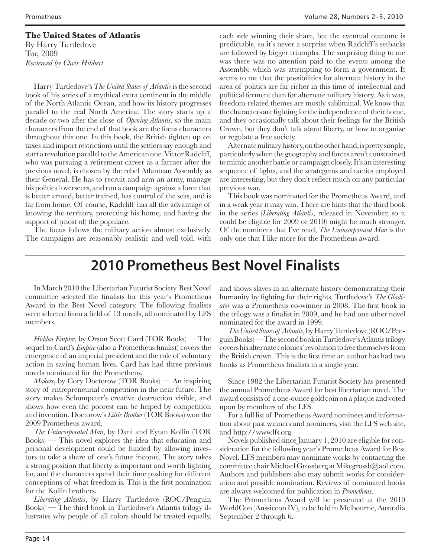#### **The United States of Atlantis**

By Harry Turtledove Tor, 2009 *Reviewed by Chris Hibbert*

Harry Turtledove's *The United States of Atlantis* is the second book of his series of a mythical extra continent in the middle of the North Atlantic Ocean, and how its history progresses parallel to the real North America. The story starts up a decade or two after the close of *Opening Atlantis*, so the main characters from the end of that book are the focus characters throughout this one. In this book, the British tighten up on taxes and import restrictions until the settlers say enough and start a revolution parallel to the American one. Victor Radcliff, who was pursuing a retirement career as a farmer after the previous novel, is chosen by the rebel Atlantean Assembly as their General. He has to recruit and arm an army, manage his political overseers, and run a campaign against a force that is better armed, better trained, has control of the seas, and is far from home. Of course, Radcliff has all the advantage of knowing the territory, protecting his home, and having the support of (most of) the populace.

The focus follows the military action almost exclusively. The campaigns are reasonably realistic and well told, with each side winning their share, but the eventual outcome is predictable, so it's never a surprise when Radcliff 's setbacks are followed by bigger triumphs. The surprising thing to me was there was no attention paid to the events among the Assembly, which was attempting to form a government. It seems to me that the possibilities for alternate history in the area of politics are far richer in this time of intellectual and political ferment than for alternate military history. As it was, freedom-related themes are mostly subliminal. We know that the characters are fighting for the independence of their home, and they occasionally talk about their feelings for the British Crown, but they don't talk about liberty, or how to organize or regulate a free society.

Alternate military history, on the other hand, is pretty simple, particularly when the geography and forces aren't constrained to mimic another battle or campaign closely. It's an interesting sequence of fights, and the strategems and tactics employed are interesting, but they don't reflect much on any particular previous war.

This book was nominated for the Prometheus Award, and in a weak year it may win. There are hints that the third book in the series (*Liberating Atlantis*, released in November, so it could be eligible for 2009 or 2010) might be much stronger. Of the nominees that I've read, *The Unincorporated Man* is the only one that I like more for the Prometheus award.

## **2010 Prometheus Best Novel Finalists**

In March 2010 the Libertarian Futurist Society Best Novel committee selected the finalists for this year's Prometheus Award in the Best Novel category. The following finalists were selected from a field of 13 novels, all nominated by LFS members.

*Hidden Empire*, by Orson Scott Card (TOR Books) — The sequel to Card's *Empire* (also a Prometheus finalist) covers the emergence of an imperial president and the role of voluntary action in saving human lives. Card has had three previous novels nominated for the Prometheus.

*Makers*, by Cory Doctorow (TOR Books) — An inspiring story of entrepreneurial competition in the near future. The story makes Schumpeter's creative destruction visible, and shows how even the poorest can be helped by competition and invention. Doctorow's *Little Brother* (TOR Books) won the 2009 Prometheus award.

*The Unincorporated Man*, by Dani and Eytan Kollin (TOR Books) — This novel explores the idea that education and personal development could be funded by allowing investors to take a share of one's future income. The story takes a strong position that liberty is important and worth fighting for, and the characters spend their time pushing for different conceptions of what freedom is. This is the first nomination for the Kollin brothers.

*Liberating Atlantis*, by Harry Turtledove (ROC/Penguin Books) — The third book in Turtledove's Atlantis trilogy illustrates why people of all colors should be treated equally, and shows slaves in an alternate history demonstrating their humanity by fighting for their rights. Turtledove's *The Gladiator* was a Prometheus co-winner in 2008. The first book in the trilogy was a finalist in 2009, and he had one other novel nominated for the award in 1999.

*The United States of Atlantis*, by Harry Turtledove (ROC/Penguin Books) — The second book in Turtledove's Atlantis trilogy covers his alternate colonies' revolution to free themselves from the British crown. This is the first time an author has had two books as Prometheus finalists in a single year.

Since 1982 the Libertarian Futurist Society has presented the annual Prometheus Award for best libertarian novel. The award consists of a one-ounce gold coin on a plaque and voted upon by members of the LFS.

For a full list of Prometheus Award nominees and information about past winners and nominees, visit the LFS web site, and http://www.lfs.org

Novels published since January 1, 2010 are eligible for consideration for the following year's Prometheus Award for Best Novel. LFS members may nominate works by contacting the committee chair Michael Grossberg at Mikegrossb@aol.com. Authors and publishers also may submit works for consideration and possible nomination. Reviews of nominated books are always welcomed for publication in *Prometheus*.

The Prometheus Award will be presented at the 2010 WorldCon (Aussiecon IV), to be held in Melbourne, Australia September 2 through 6.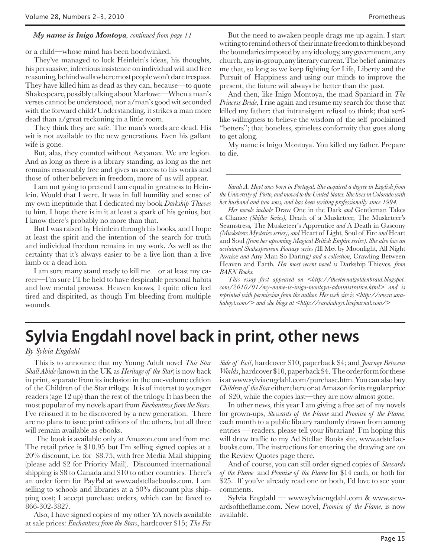#### *—My name is Inigo Montoya, continued from page 11*

or a child—whose mind has been hoodwinked.

They've managed to lock Heinlein's ideas, his thoughts, his persuasive, infectious insistence on individual will and free reasoning, behind walls where most people won't dare trespass. They have killed him as dead as they can, because—to quote Shakespeare, possibly talking about Marlowe—When a man's verses cannot be understood, nor a/man's good wit seconded with the forward child/Understanding, it strikes a man more dead than a/great reckoning in a little room.

They think they are safe. The man's words are dead. His wit is not available to the new generations. Even his gallant wife is gone.

But, alas, they counted without Astyanax. We are legion. And as long as there is a library standing, as long as the net remains reasonably free and gives us access to his works and those of other believers in freedom, more of us will appear.

I am not going to pretend I am equal in greatness to Heinlein. Would that I were. It was in full humility and sense of my own ineptitude that I dedicated my book *Darkship Thieves* to him. I hope there is in it at least a spark of his genius, but I know there's probably no more than that.

But I was raised by Heinlein through his books, and I hope at least the spirit and the intention of the search for truth and individual freedom remains in my work. As well as the certainty that it's always easier to be a live lion than a live lamb or a dead lion.

I am sure many stand ready to kill me—or at least my career—I'm sure I'll be held to have despicable personal habits and low mental prowess. Heaven knows, I quite often feel tired and dispirited, as though I'm bleeding from multiple wounds.

But the need to awaken people drags me up again. I start writing to remind others of their innate freedom to think beyond the boundaries imposed by any ideology, any government, any church, any in-group, any literary current. The belief animates me that, so long as we keep fighting for Life, Liberty and the Pursuit of Happiness and using our minds to improve the present, the future will always be better than the past.

And then, like Inigo Montoya, the mad Spaniard in *The Princess Bride*, I rise again and resume my search for those that killed my father: that intransigent refusal to think; that serflike willingness to believe the wisdom of the self proclaimed "betters"; that boneless, spineless conformity that goes along to get along.

My name is Inigo Montoya. You killed my father. Prepare to die.

*Sarah A. Hoyt was born in Portugal. She acquired a degree in English from the University of Porto, and moved to the United States. She lives in Colorado with her husband and two sons, and has been writing professionally since 1994.*

*Her novels include* Draw One in the Dark *and* Gentleman Takes a Chance *(Shifter Series),* Death of a Musketeer*,* The Musketeer's Seamstress*,* The Musketeer's Apprentice *and* A Death in Gascony *(Musketeers Mysteries series), and* Heart of Light*,* Soul of Fire *and* Heart and Soul *(from her upcoming Magical British Empire series). She also has an acclaimed Shakespearean Fantasy series (*Ill Met by Moonlight*,* All Night Awake *and* Any Man So Daring*) and a collection,* Crawling Between Heaven and Earth*. Her most recent novel is* Darkship Thieves*, from BAEN Books.*

*This essay first appeared on <http://theeternalgoldenbraid.blogspot. com/2010/01/my-name-is-inigo-montoya-administrative.html> and is reprinted with permission from the author. Her web site is <http://www.sarahahoyt.com/> and she blogs at <http://sarahahoyt.livejournal.com/>*

## **Sylvia Engdahl novel back in print, other news**

*By Sylvia Engdahl*

This is to announce that my Young Adult novel *This Star Shall Abide* (known in the UK as *Heritage of the Star*) is now back in print, separate from its inclusion in the one-volume edition of the Children of the Star trilogy. It is of interest to younger readers (age 12 up) than the rest of the trilogy. It has been the most popular of my novels apart from *Enchantress from the Stars*. I've reissued it to be discovered by a new generation. There are no plans to issue print editions of the others, but all three will remain available as ebooks.

 The book is available only at Amazon.com and from me. The retail price is \$10.95 but I'm selling signed copies at a 20% discount, i.e. for \$8.75, with free Media Mail shipping (please add \$2 for Priority Mail). Discounted international shipping is \$8 to Canada and \$10 to other countries. There's an order form for PayPal at www.adstellaebooks.com. I am selling to schools and libraries at a 50% discount plus shipping cost; I accept purchase orders, which can be faxed to 866-302-3827.

Also, I have signed copies of my other YA novels available at sale prices: *Enchantress from the Stars*, hardcover \$15; *The Far* 

*Side of Evil*, hardcover \$10, paperback \$4; and *Journey Between Worlds*, hardcover \$10, paperback \$4. The order form for these is at www.sylviaengdahl.com/purchase.htm. You can also buy *Children of the Star* either there or at Amazon for its regular price of \$20, while the copies last—they are now almost gone.

In other news, this year I am giving a free set of my novels for grown-ups, *Stewards of the Flame* and *Promise of the Flame,* each month to a public library randomly drawn from among entries — readers, please tell your librarian! I'm hoping this will draw traffic to my Ad Stellae Books site, www.adstellaebooks.com. The instructions for entering the drawing are on the Review Quotes page there.

And of course, you can still order signed copies of *Stewards of the Flame* and *Promise of the Flame* for \$14 each, or both for \$25. If you've already read one or both, I'd love to see your comments.

Sylvia Engdahl — www.sylviaengdahl.com & www.stewardsoftheflame.com. New novel, *Promise of the Flame*, is now available.